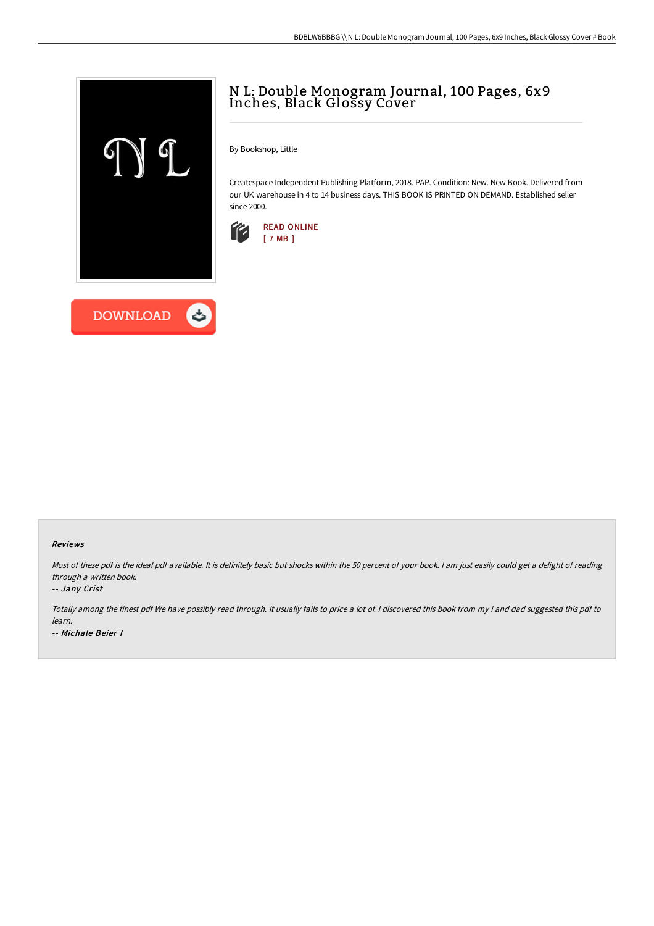



## N L: Double Monogram Journal, 100 Pages, 6x9 Inches, Black Glossy Cover

By Bookshop, Little

Createspace Independent Publishing Platform, 2018. PAP. Condition: New. New Book. Delivered from our UK warehouse in 4 to 14 business days. THIS BOOK IS PRINTED ON DEMAND. Established seller since 2000.



## Reviews

Most of these pdf is the ideal pdf available. It is definitely basic but shocks within the 50 percent of your book. I am just easily could get a delight of reading through <sup>a</sup> written book.

## -- Jany Crist

Totally among the finest pdf We have possibly read through. It usually fails to price <sup>a</sup> lot of. <sup>I</sup> discovered this book from my i and dad suggested this pdf to learn. -- Michale Beier I